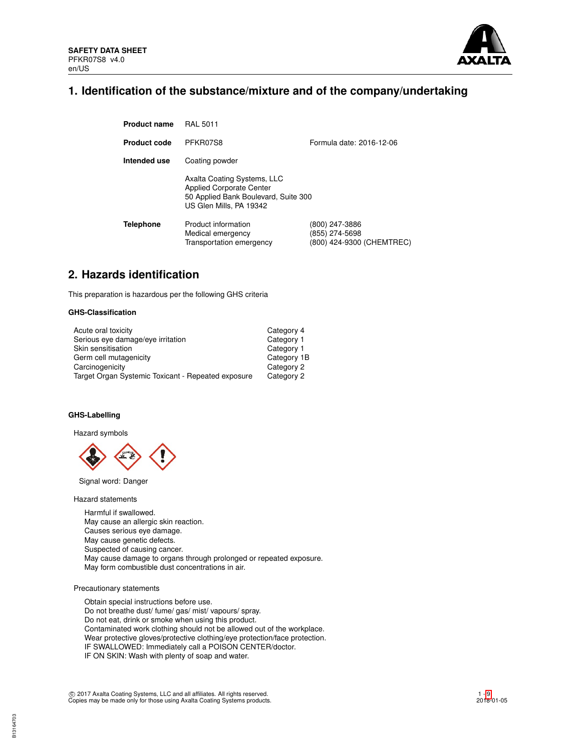

# **1. Identification of the substance/mixture and of the company/undertaking**

| <b>Product name</b> | <b>RAL 5011</b>                                                                                                                   |                                                               |  |  |  |
|---------------------|-----------------------------------------------------------------------------------------------------------------------------------|---------------------------------------------------------------|--|--|--|
| <b>Product code</b> | PFKR07S8                                                                                                                          | Formula date: 2016-12-06                                      |  |  |  |
| Intended use        | Coating powder                                                                                                                    |                                                               |  |  |  |
|                     | Axalta Coating Systems, LLC<br><b>Applied Corporate Center</b><br>50 Applied Bank Boulevard, Suite 300<br>US Glen Mills, PA 19342 |                                                               |  |  |  |
| <b>Telephone</b>    | Product information<br>Medical emergency<br>Transportation emergency                                                              | (800) 247-3886<br>(855) 274-5698<br>(800) 424-9300 (CHEMTREC) |  |  |  |

# **2. Hazards identification**

This preparation is hazardous per the following GHS criteria

# **GHS-Classification**

| Acute oral toxicity                                | Category 4  |
|----------------------------------------------------|-------------|
| Serious eye damage/eye irritation                  | Category 1  |
| Skin sensitisation                                 | Category 1  |
| Germ cell mutagenicity                             | Category 1B |
| Carcinogenicity                                    | Category 2  |
| Target Organ Systemic Toxicant - Repeated exposure | Category 2  |

# **GHS-Labelling**

Hazard symbols



Signal word: Danger

Hazard statements

Harmful if swallowed. May cause an allergic skin reaction. Causes serious eye damage. May cause genetic defects. Suspected of causing cancer. May cause damage to organs through prolonged or repeated exposure. May form combustible dust concentrations in air.

# Precautionary statements

Obtain special instructions before use. Do not breathe dust/ fume/ gas/ mist/ vapours/ spray. Do not eat, drink or smoke when using this product. Contaminated work clothing should not be allowed out of the workplace. Wear protective gloves/protective clothing/eye protection/face protection. IF SWALLOWED: Immediately call a POISON CENTER/doctor. IF ON SKIN: Wash with plenty of soap and water.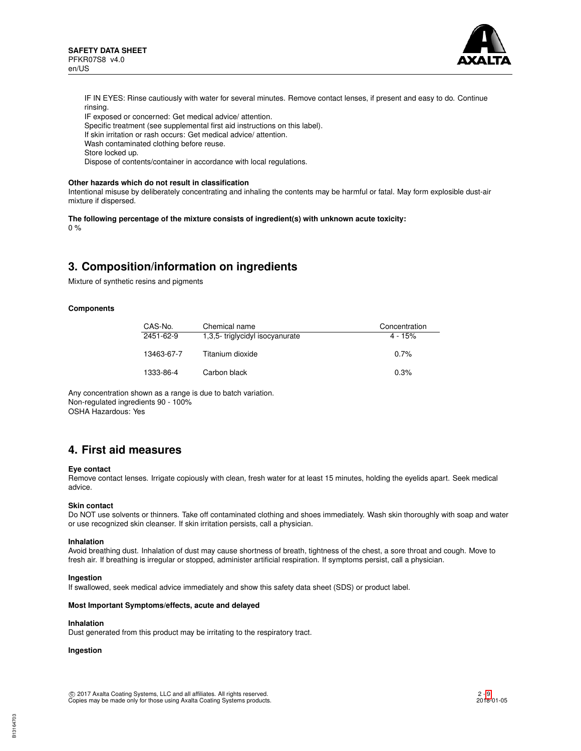

IF IN EYES: Rinse cautiously with water for several minutes. Remove contact lenses, if present and easy to do. Continue rinsing.

IF exposed or concerned: Get medical advice/ attention.

Specific treatment (see supplemental first aid instructions on this label).

If skin irritation or rash occurs: Get medical advice/ attention.

Wash contaminated clothing before reuse.

Store locked up.

Dispose of contents/container in accordance with local regulations.

### **Other hazards which do not result in classification**

Intentional misuse by deliberately concentrating and inhaling the contents may be harmful or fatal. May form explosible dust-air mixture if dispersed.

#### **The following percentage of the mixture consists of ingredient(s) with unknown acute toxicity:**  $0 %$

# **3. Composition/information on ingredients**

Mixture of synthetic resins and pigments

## **Components**

| CAS-No.    | Chemical name                  | Concentration |
|------------|--------------------------------|---------------|
| 2451-62-9  | 1,3,5-triglycidyl isocyanurate | $4 - 15%$     |
| 13463-67-7 | Titanium dioxide               | 0.7%          |
| 1333-86-4  | Carbon black                   | 0.3%          |

Any concentration shown as a range is due to batch variation. Non-regulated ingredients 90 - 100% OSHA Hazardous: Yes

# **4. First aid measures**

### **Eye contact**

Remove contact lenses. Irrigate copiously with clean, fresh water for at least 15 minutes, holding the eyelids apart. Seek medical advice.

### **Skin contact**

Do NOT use solvents or thinners. Take off contaminated clothing and shoes immediately. Wash skin thoroughly with soap and water or use recognized skin cleanser. If skin irritation persists, call a physician.

### **Inhalation**

Avoid breathing dust. Inhalation of dust may cause shortness of breath, tightness of the chest, a sore throat and cough. Move to fresh air. If breathing is irregular or stopped, administer artificial respiration. If symptoms persist, call a physician.

### **Ingestion**

If swallowed, seek medical advice immediately and show this safety data sheet (SDS) or product label.

### **Most Important Symptoms/effects, acute and delayed**

# **Inhalation**

Dust generated from this product may be irritating to the respiratory tract.

# **Ingestion**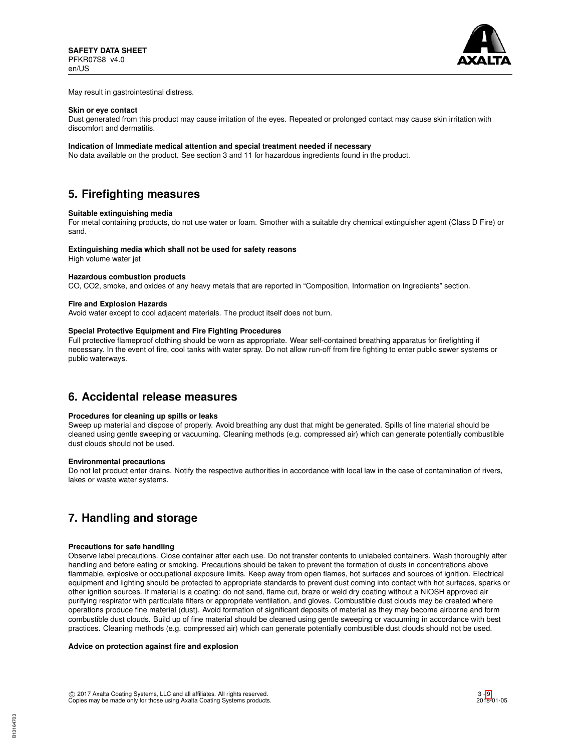

May result in gastrointestinal distress.

### **Skin or eye contact**

Dust generated from this product may cause irritation of the eyes. Repeated or prolonged contact may cause skin irritation with discomfort and dermatitis.

### **Indication of Immediate medical attention and special treatment needed if necessary**

No data available on the product. See section 3 and 11 for hazardous ingredients found in the product.

# **5. Firefighting measures**

### **Suitable extinguishing media**

For metal containing products, do not use water or foam. Smother with a suitable dry chemical extinguisher agent (Class D Fire) or sand.

#### **Extinguishing media which shall not be used for safety reasons**

High volume water jet

# **Hazardous combustion products**

CO, CO2, smoke, and oxides of any heavy metals that are reported in "Composition, Information on Ingredients" section.

#### **Fire and Explosion Hazards**

Avoid water except to cool adjacent materials. The product itself does not burn.

# **Special Protective Equipment and Fire Fighting Procedures**

Full protective flameproof clothing should be worn as appropriate. Wear self-contained breathing apparatus for firefighting if necessary. In the event of fire, cool tanks with water spray. Do not allow run-off from fire fighting to enter public sewer systems or public waterways.

# **6. Accidental release measures**

# **Procedures for cleaning up spills or leaks**

Sweep up material and dispose of properly. Avoid breathing any dust that might be generated. Spills of fine material should be cleaned using gentle sweeping or vacuuming. Cleaning methods (e.g. compressed air) which can generate potentially combustible dust clouds should not be used.

#### **Environmental precautions**

Do not let product enter drains. Notify the respective authorities in accordance with local law in the case of contamination of rivers, lakes or waste water systems.

# **7. Handling and storage**

# **Precautions for safe handling**

Observe label precautions. Close container after each use. Do not transfer contents to unlabeled containers. Wash thoroughly after handling and before eating or smoking. Precautions should be taken to prevent the formation of dusts in concentrations above flammable, explosive or occupational exposure limits. Keep away from open flames, hot surfaces and sources of ignition. Electrical equipment and lighting should be protected to appropriate standards to prevent dust coming into contact with hot surfaces, sparks or other ignition sources. If material is a coating: do not sand, flame cut, braze or weld dry coating without a NIOSH approved air purifying respirator with particulate filters or appropriate ventilation, and gloves. Combustible dust clouds may be created where operations produce fine material (dust). Avoid formation of significant deposits of material as they may become airborne and form combustible dust clouds. Build up of fine material should be cleaned using gentle sweeping or vacuuming in accordance with best practices. Cleaning methods (e.g. compressed air) which can generate potentially combustible dust clouds should not be used.

# **Advice on protection against fire and explosion**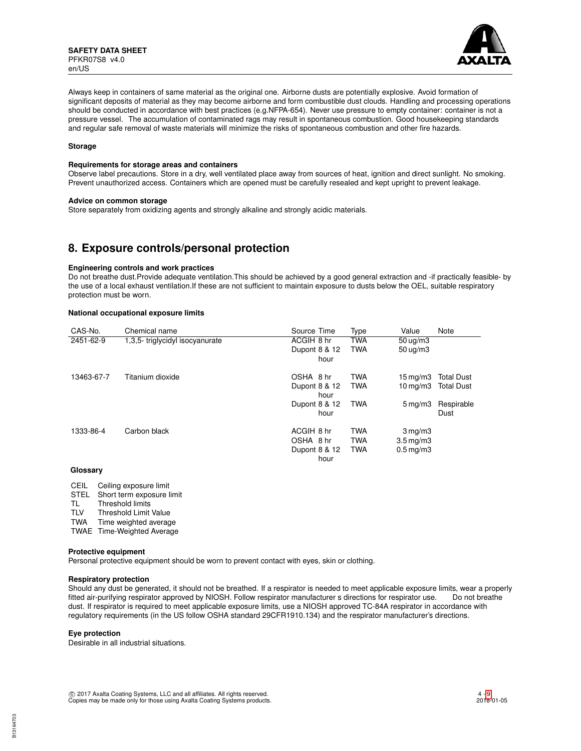

Always keep in containers of same material as the original one. Airborne dusts are potentially explosive. Avoid formation of significant deposits of material as they may become airborne and form combustible dust clouds. Handling and processing operations should be conducted in accordance with best practices (e.g.NFPA-654). Never use pressure to empty container: container is not a pressure vessel. The accumulation of contaminated rags may result in spontaneous combustion. Good housekeeping standards and regular safe removal of waste materials will minimize the risks of spontaneous combustion and other fire hazards.

### **Storage**

### **Requirements for storage areas and containers**

Observe label precautions. Store in a dry, well ventilated place away from sources of heat, ignition and direct sunlight. No smoking. Prevent unauthorized access. Containers which are opened must be carefully resealed and kept upright to prevent leakage.

### **Advice on common storage**

Store separately from oxidizing agents and strongly alkaline and strongly acidic materials.

# **8. Exposure controls/personal protection**

### **Engineering controls and work practices**

Do not breathe dust.Provide adequate ventilation.This should be achieved by a good general extraction and -if practically feasible- by the use of a local exhaust ventilation.If these are not sufficient to maintain exposure to dusts below the OEL, suitable respiratory protection must be worn.

# **National occupational exposure limits**

| CAS-No.    | Chemical name                  | Source Time   | Type       | Value                   | Note              |
|------------|--------------------------------|---------------|------------|-------------------------|-------------------|
| 2451-62-9  | 1,3,5-triglycidyl isocyanurate | ACGIH 8 hr    | <b>TWA</b> | $50 \mu q/m3$           |                   |
|            |                                | Dupont 8 & 12 | <b>TWA</b> | $50 \mu q/m3$           |                   |
|            |                                | hour          |            |                         |                   |
| 13463-67-7 | Titanium dioxide               | OSHA 8 hr     | <b>TWA</b> | $15 \,\mathrm{mq/m}$    | <b>Total Dust</b> |
|            |                                | Dupont 8 & 12 | <b>TWA</b> | $10 \,\mathrm{mq/m}$    | <b>Total Dust</b> |
|            |                                | hour          |            |                         |                   |
|            |                                | Dupont 8 & 12 | <b>TWA</b> | $5 \,\mathrm{mg/m}$     | Respirable        |
|            |                                | hour          |            |                         | Dust              |
| 1333-86-4  | Carbon black                   | ACGIH 8 hr    | <b>TWA</b> | $3 \,\mathrm{mg/m}$     |                   |
|            |                                | OSHA 8 hr     | <b>TWA</b> | $3.5 \,\mathrm{mq/m}$   |                   |
|            |                                | Dupont 8 & 12 | <b>TWA</b> | $0.5 \,\mathrm{mq/m}$ 3 |                   |
|            |                                | hour          |            |                         |                   |

# **Glossary**

CEIL Ceiling exposure limit STEL Short term exposure limit<br>TL Threshold limits Threshold limits TLV Threshold Limit Value TWA Time weighted average TWAE Time-Weighted Average

### **Protective equipment**

Personal protective equipment should be worn to prevent contact with eyes, skin or clothing.

## **Respiratory protection**

Should any dust be generated, it should not be breathed. If a respirator is needed to meet applicable exposure limits, wear a properly fitted air-purifying respirator approved by NIOSH. Follow respirator manufacturer s directions for respirator use. Do not breathe dust. If respirator is required to meet applicable exposure limits, use a NIOSH approved TC-84A respirator in accordance with regulatory requirements (in the US follow OSHA standard 29CFR1910.134) and the respirator manufacturer's directions.

### **Eye protection**

Desirable in all industrial situations.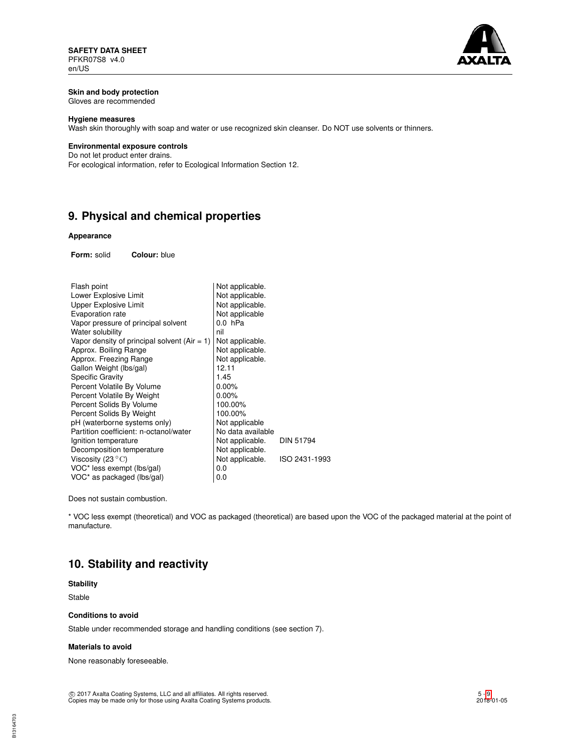

# **Skin and body protection**

Gloves are recommended

# **Hygiene measures**

Wash skin thoroughly with soap and water or use recognized skin cleanser. Do NOT use solvents or thinners.

# **Environmental exposure controls**

Do not let product enter drains. For ecological information, refer to Ecological Information Section 12.

# **9. Physical and chemical properties**

# **Appearance**

**Form:** solid **Colour:** blue

| Flash point                                    | Not applicable.   |               |
|------------------------------------------------|-------------------|---------------|
| Lower Explosive Limit                          | Not applicable.   |               |
| Upper Explosive Limit                          | Not applicable.   |               |
| Evaporation rate                               | Not applicable    |               |
| Vapor pressure of principal solvent            | $0.0$ hPa         |               |
| Water solubility                               | nil               |               |
| Vapor density of principal solvent $(Air = 1)$ | Not applicable.   |               |
| Approx. Boiling Range                          | Not applicable.   |               |
| Approx. Freezing Range                         | Not applicable.   |               |
| Gallon Weight (lbs/gal)                        | 12.11             |               |
| <b>Specific Gravity</b>                        | 1.45              |               |
| Percent Volatile By Volume                     | $0.00\%$          |               |
| Percent Volatile By Weight                     | $0.00\%$          |               |
| Percent Solids By Volume                       | 100.00%           |               |
| Percent Solids By Weight                       | 100.00%           |               |
| pH (waterborne systems only)                   | Not applicable    |               |
| Partition coefficient: n-octanol/water         | No data available |               |
| Ignition temperature                           | Not applicable.   | DIN 51794     |
| Decomposition temperature                      | Not applicable.   |               |
| Viscosity (23 $^{\circ}$ C)                    | Not applicable.   | ISO 2431-1993 |
| VOC* less exempt (lbs/gal)                     | 0.0               |               |
| VOC* as packaged (lbs/gal)                     | 0.0               |               |

Does not sustain combustion.

\* VOC less exempt (theoretical) and VOC as packaged (theoretical) are based upon the VOC of the packaged material at the point of manufacture.

# **10. Stability and reactivity**

# **Stability**

Stable

## **Conditions to avoid**

Stable under recommended storage and handling conditions (see section 7).

## **Materials to avoid**

None reasonably foreseeable.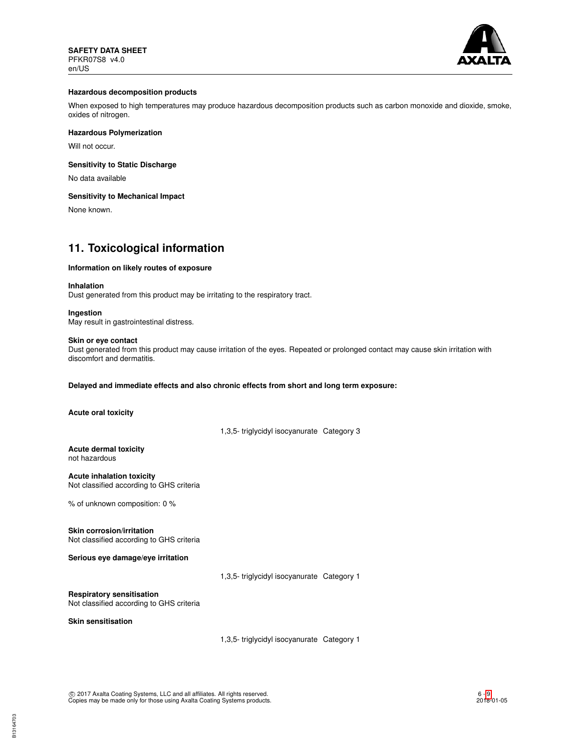

## **Hazardous decomposition products**

When exposed to high temperatures may produce hazardous decomposition products such as carbon monoxide and dioxide, smoke, oxides of nitrogen.

# **Hazardous Polymerization**

Will not occur.

## **Sensitivity to Static Discharge**

No data available

## **Sensitivity to Mechanical Impact**

None known.

# **11. Toxicological information**

## **Information on likely routes of exposure**

### **Inhalation**

Dust generated from this product may be irritating to the respiratory tract.

### **Ingestion**

May result in gastrointestinal distress.

# **Skin or eye contact**

Dust generated from this product may cause irritation of the eyes. Repeated or prolonged contact may cause skin irritation with discomfort and dermatitis.

## **Delayed and immediate effects and also chronic effects from short and long term exposure:**

**Acute oral toxicity**

1,3,5- triglycidyl isocyanurate Category 3

**Acute dermal toxicity** not hazardous

**Acute inhalation toxicity** Not classified according to GHS criteria

% of unknown composition: 0 %

**Skin corrosion/irritation** Not classified according to GHS criteria

# **Serious eye damage/eye irritation**

1,3,5- triglycidyl isocyanurate Category 1

**Respiratory sensitisation**

Not classified according to GHS criteria

**Skin sensitisation**

1,3,5- triglycidyl isocyanurate Category 1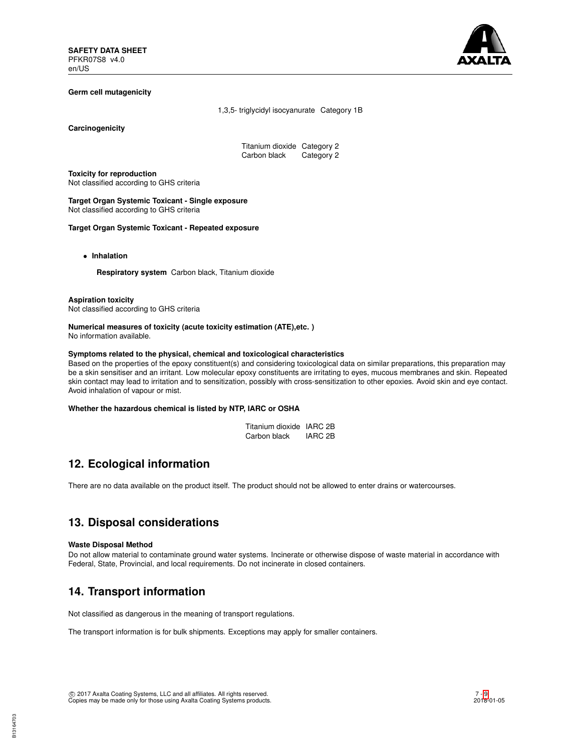

# **Germ cell mutagenicity**

1,3,5- triglycidyl isocyanurate Category 1B

**Carcinogenicity**

Titanium dioxide Category 2<br>Carbon black Category 2 Carbon black

**Toxicity for reproduction** Not classified according to GHS criteria

**Target Organ Systemic Toxicant - Single exposure** Not classified according to GHS criteria

**Target Organ Systemic Toxicant - Repeated exposure**

• **Inhalation**

**Respiratory system** Carbon black, Titanium dioxide

#### **Aspiration toxicity**

Not classified according to GHS criteria

#### **Numerical measures of toxicity (acute toxicity estimation (ATE),etc. )** No information available.

#### **Symptoms related to the physical, chemical and toxicological characteristics**

Based on the properties of the epoxy constituent(s) and considering toxicological data on similar preparations, this preparation may be a skin sensitiser and an irritant. Low molecular epoxy constituents are irritating to eyes, mucous membranes and skin. Repeated skin contact may lead to irritation and to sensitization, possibly with cross-sensitization to other epoxies. Avoid skin and eye contact. Avoid inhalation of vapour or mist.

## **Whether the hazardous chemical is listed by NTP, IARC or OSHA**

| Titanium dioxide IARC 2B |                    |
|--------------------------|--------------------|
| Carbon black             | IARC <sub>2B</sub> |

# **12. Ecological information**

There are no data available on the product itself. The product should not be allowed to enter drains or watercourses.

# **13. Disposal considerations**

### **Waste Disposal Method**

Do not allow material to contaminate ground water systems. Incinerate or otherwise dispose of waste material in accordance with Federal, State, Provincial, and local requirements. Do not incinerate in closed containers.

# **14. Transport information**

Not classified as dangerous in the meaning of transport regulations.

The transport information is for bulk shipments. Exceptions may apply for smaller containers.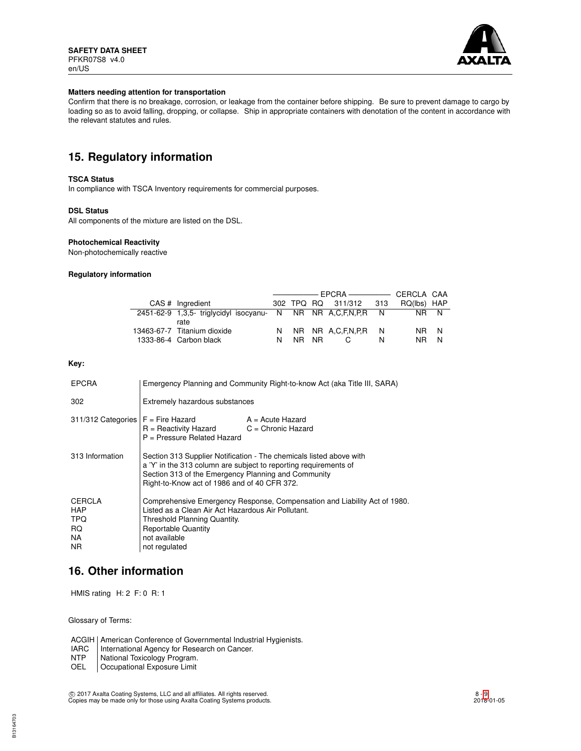

### **Matters needing attention for transportation**

Confirm that there is no breakage, corrosion, or leakage from the container before shipping. Be sure to prevent damage to cargo by loading so as to avoid falling, dropping, or collapse. Ship in appropriate containers with denotation of the content in accordance with the relevant statutes and rules.

# **15. Regulatory information**

## **TSCA Status**

In compliance with TSCA Inventory requirements for commercial purposes.

## **DSL Status**

All components of the mixture are listed on the DSL.

### **Photochemical Reactivity**

Non-photochemically reactive

#### **Regulatory information**

| CAS # Ingradient                                                     |   |       | 302 TPQ RQ 311/312 313 |   | RQ(lbs) HAP |   |
|----------------------------------------------------------------------|---|-------|------------------------|---|-------------|---|
| 2451-62-9 1,3,5- triglycidyl isocyanu- N NR NR A,C,F,N,P,R N<br>rate |   |       |                        |   | NR N        |   |
| 13463-67-7 Titanium dioxide                                          |   |       | N NR NR A.C.F.N.P.R N  |   | NR N        |   |
| 1333-86-4 Carbon black                                               | N | NR NR |                        | N | NR.         | N |

## **Key:**

| <b>EPCRA</b>                                            | Emergency Planning and Community Right-to-know Act (aka Title III, SARA)                                                                                                                                                                       |  |  |  |
|---------------------------------------------------------|------------------------------------------------------------------------------------------------------------------------------------------------------------------------------------------------------------------------------------------------|--|--|--|
| 302                                                     | Extremely hazardous substances                                                                                                                                                                                                                 |  |  |  |
| $311/312$ Categories $F =$ Fire Hazard                  | A = Acute Hazard<br>$R =$ Reactivity Hazard $C =$ Chronic Hazard<br>$P =$ Pressure Related Hazard                                                                                                                                              |  |  |  |
| 313 Information                                         | Section 313 Supplier Notification - The chemicals listed above with<br>a 'Y' in the 313 column are subject to reporting requirements of<br>Section 313 of the Emergency Planning and Community<br>Right-to-Know act of 1986 and of 40 CFR 372. |  |  |  |
| <b>CERCLA</b><br><b>HAP</b><br>TPQ<br>RQ.<br>NA.<br>NR. | Comprehensive Emergency Response, Compensation and Liability Act of 1980.<br>Listed as a Clean Air Act Hazardous Air Pollutant.<br>Threshold Planning Quantity.<br><b>Reportable Quantity</b><br>not available<br>not regulated                |  |  |  |

# **16. Other information**

HMIS rating H: 2 F: 0 R: 1

Glossary of Terms:

ACGIH | American Conference of Governmental Industrial Hygienists.<br>
IARC | International Agency for Research on Cancer.

- 
- NTP National Toxicology Program.<br>OEL Cocupational Exposure Limit Occupational Exposure Limit

IARC | International Agency for Research on Cancer.<br>NTP | National Toxicology Program.